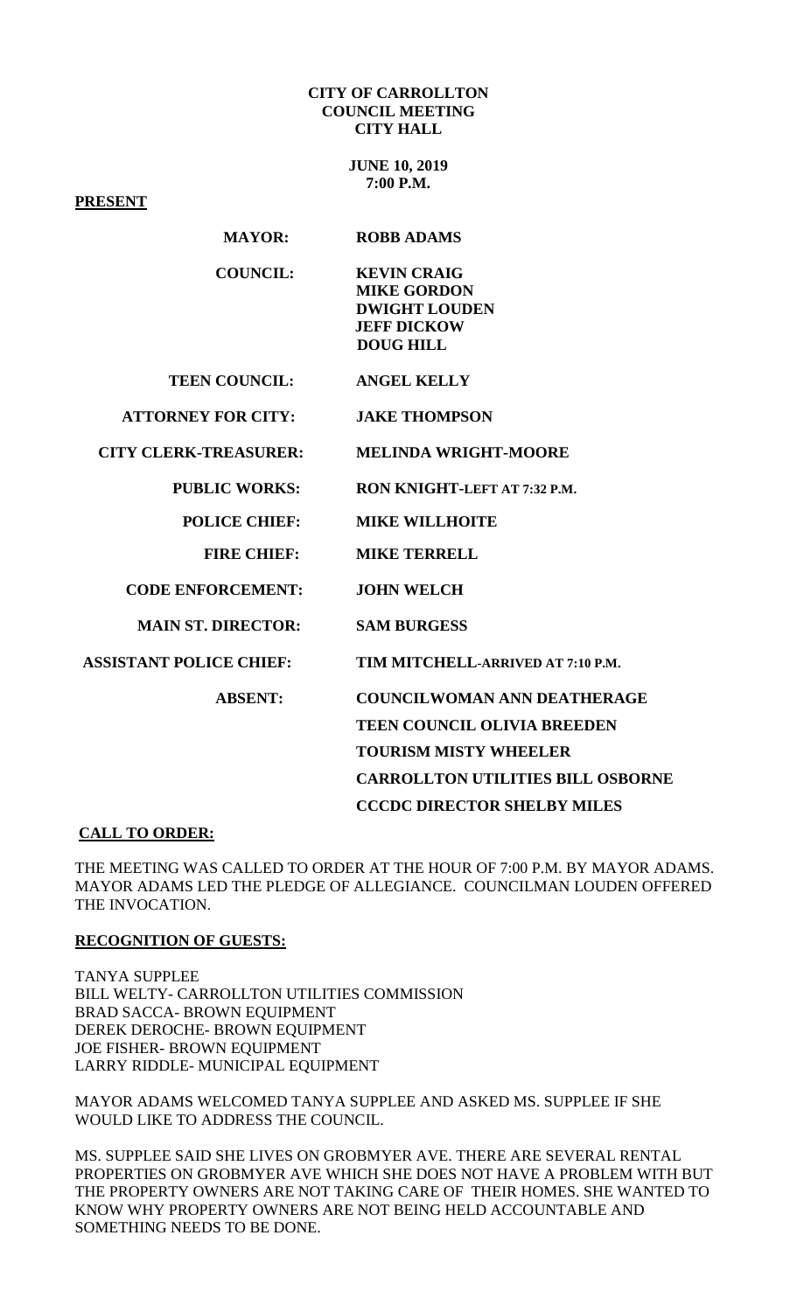#### **CITY OF CARROLLTON COUNCIL MEETING CITY HALL**

**JUNE 10, 2019 7:00 P.M.**

**PRESENT**

| <b>MAYOR:</b>                  | <b>ROBB ADAMS</b>                                                                                          |
|--------------------------------|------------------------------------------------------------------------------------------------------------|
| <b>COUNCIL:</b>                | <b>KEVIN CRAIG</b><br><b>MIKE GORDON</b><br><b>DWIGHT LOUDEN</b><br><b>JEFF DICKOW</b><br><b>DOUG HILL</b> |
| <b>TEEN COUNCIL:</b>           | <b>ANGEL KELLY</b>                                                                                         |
| <b>ATTORNEY FOR CITY:</b>      | <b>JAKE THOMPSON</b>                                                                                       |
| <b>CITY CLERK-TREASURER:</b>   | <b>MELINDA WRIGHT-MOORE</b>                                                                                |
| <b>PUBLIC WORKS:</b>           | RON KNIGHT-LEFT AT 7:32 P.M.                                                                               |
| <b>POLICE CHIEF:</b>           | <b>MIKE WILLHOITE</b>                                                                                      |
| <b>FIRE CHIEF:</b>             | <b>MIKE TERRELL</b>                                                                                        |
| <b>CODE ENFORCEMENT:</b>       | <b>JOHN WELCH</b>                                                                                          |
| <b>MAIN ST. DIRECTOR:</b>      | <b>SAM BURGESS</b>                                                                                         |
| <b>ASSISTANT POLICE CHIEF:</b> | TIM MITCHELL-ARRIVED AT 7:10 P.M.                                                                          |
| <b>ABSENT:</b>                 | <b>COUNCILWOMAN ANN DEATHERAGE</b>                                                                         |
|                                | <b>TEEN COUNCIL OLIVIA BREEDEN</b>                                                                         |
|                                | <b>TOURISM MISTY WHEELER</b>                                                                               |
|                                | <b>CARROLLTON UTILITIES BILL OSBORNE</b>                                                                   |
|                                | <b>CCCDC DIRECTOR SHELBY MILES</b>                                                                         |

#### **CALL TO ORDER:**

THE MEETING WAS CALLED TO ORDER AT THE HOUR OF 7:00 P.M. BY MAYOR ADAMS. MAYOR ADAMS LED THE PLEDGE OF ALLEGIANCE. COUNCILMAN LOUDEN OFFERED THE INVOCATION.

#### **RECOGNITION OF GUESTS:**

TANYA SUPPLEE BILL WELTY- CARROLLTON UTILITIES COMMISSION BRAD SACCA- BROWN EQUIPMENT DEREK DEROCHE- BROWN EQUIPMENT JOE FISHER- BROWN EQUIPMENT LARRY RIDDLE- MUNICIPAL EQUIPMENT

MAYOR ADAMS WELCOMED TANYA SUPPLEE AND ASKED MS. SUPPLEE IF SHE WOULD LIKE TO ADDRESS THE COUNCIL.

MS. SUPPLEE SAID SHE LIVES ON GROBMYER AVE. THERE ARE SEVERAL RENTAL PROPERTIES ON GROBMYER AVE WHICH SHE DOES NOT HAVE A PROBLEM WITH BUT THE PROPERTY OWNERS ARE NOT TAKING CARE OF THEIR HOMES. SHE WANTED TO KNOW WHY PROPERTY OWNERS ARE NOT BEING HELD ACCOUNTABLE AND SOMETHING NEEDS TO BE DONE.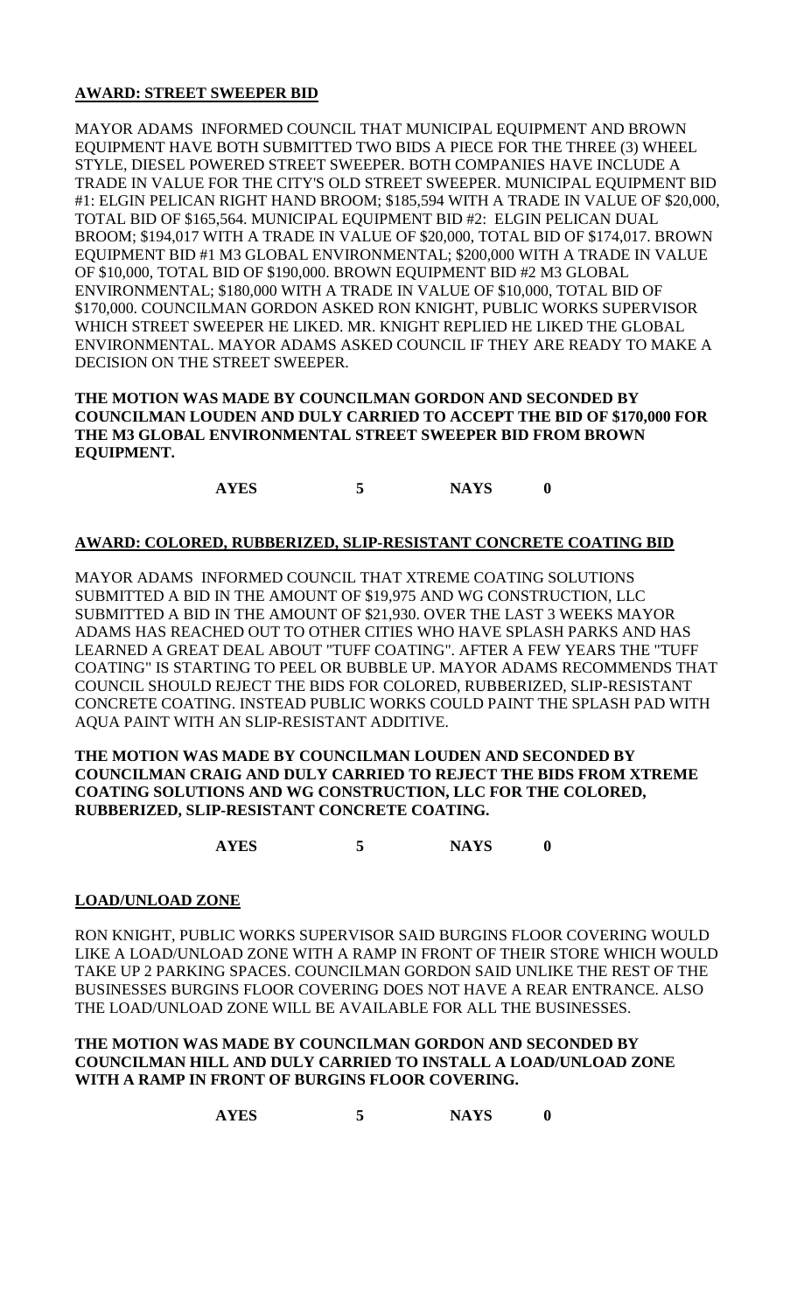# **AWARD: STREET SWEEPER BID**

MAYOR ADAMS INFORMED COUNCIL THAT MUNICIPAL EQUIPMENT AND BROWN EQUIPMENT HAVE BOTH SUBMITTED TWO BIDS A PIECE FOR THE THREE (3) WHEEL STYLE, DIESEL POWERED STREET SWEEPER. BOTH COMPANIES HAVE INCLUDE A TRADE IN VALUE FOR THE CITY'S OLD STREET SWEEPER. MUNICIPAL EQUIPMENT BID #1: ELGIN PELICAN RIGHT HAND BROOM; \$185,594 WITH A TRADE IN VALUE OF \$20,000, TOTAL BID OF \$165,564. MUNICIPAL EQUIPMENT BID #2: ELGIN PELICAN DUAL BROOM; \$194,017 WITH A TRADE IN VALUE OF \$20,000, TOTAL BID OF \$174,017. BROWN EQUIPMENT BID #1 M3 GLOBAL ENVIRONMENTAL; \$200,000 WITH A TRADE IN VALUE OF \$10,000, TOTAL BID OF \$190,000. BROWN EQUIPMENT BID #2 M3 GLOBAL ENVIRONMENTAL; \$180,000 WITH A TRADE IN VALUE OF \$10,000, TOTAL BID OF \$170,000. COUNCILMAN GORDON ASKED RON KNIGHT, PUBLIC WORKS SUPERVISOR WHICH STREET SWEEPER HE LIKED. MR. KNIGHT REPLIED HE LIKED THE GLOBAL ENVIRONMENTAL. MAYOR ADAMS ASKED COUNCIL IF THEY ARE READY TO MAKE A DECISION ON THE STREET SWEEPER.

#### **THE MOTION WAS MADE BY COUNCILMAN GORDON AND SECONDED BY COUNCILMAN LOUDEN AND DULY CARRIED TO ACCEPT THE BID OF \$170,000 FOR THE M3 GLOBAL ENVIRONMENTAL STREET SWEEPER BID FROM BROWN EQUIPMENT.**

**AYES 5 NAYS 0**

## **AWARD: COLORED, RUBBERIZED, SLIP-RESISTANT CONCRETE COATING BID**

MAYOR ADAMS INFORMED COUNCIL THAT XTREME COATING SOLUTIONS SUBMITTED A BID IN THE AMOUNT OF \$19,975 AND WG CONSTRUCTION, LLC SUBMITTED A BID IN THE AMOUNT OF \$21,930. OVER THE LAST 3 WEEKS MAYOR ADAMS HAS REACHED OUT TO OTHER CITIES WHO HAVE SPLASH PARKS AND HAS LEARNED A GREAT DEAL ABOUT "TUFF COATING". AFTER A FEW YEARS THE "TUFF COATING" IS STARTING TO PEEL OR BUBBLE UP. MAYOR ADAMS RECOMMENDS THAT COUNCIL SHOULD REJECT THE BIDS FOR COLORED, RUBBERIZED, SLIP-RESISTANT CONCRETE COATING. INSTEAD PUBLIC WORKS COULD PAINT THE SPLASH PAD WITH AQUA PAINT WITH AN SLIP-RESISTANT ADDITIVE.

#### **THE MOTION WAS MADE BY COUNCILMAN LOUDEN AND SECONDED BY COUNCILMAN CRAIG AND DULY CARRIED TO REJECT THE BIDS FROM XTREME COATING SOLUTIONS AND WG CONSTRUCTION, LLC FOR THE COLORED, RUBBERIZED, SLIP-RESISTANT CONCRETE COATING.**

**AYES 5 NAYS 0**

#### **LOAD/UNLOAD ZONE**

RON KNIGHT, PUBLIC WORKS SUPERVISOR SAID BURGINS FLOOR COVERING WOULD LIKE A LOAD/UNLOAD ZONE WITH A RAMP IN FRONT OF THEIR STORE WHICH WOULD TAKE UP 2 PARKING SPACES. COUNCILMAN GORDON SAID UNLIKE THE REST OF THE BUSINESSES BURGINS FLOOR COVERING DOES NOT HAVE A REAR ENTRANCE. ALSO THE LOAD/UNLOAD ZONE WILL BE AVAILABLE FOR ALL THE BUSINESSES.

### **THE MOTION WAS MADE BY COUNCILMAN GORDON AND SECONDED BY COUNCILMAN HILL AND DULY CARRIED TO INSTALL A LOAD/UNLOAD ZONE WITH A RAMP IN FRONT OF BURGINS FLOOR COVERING.**

**AYES 5 NAYS 0**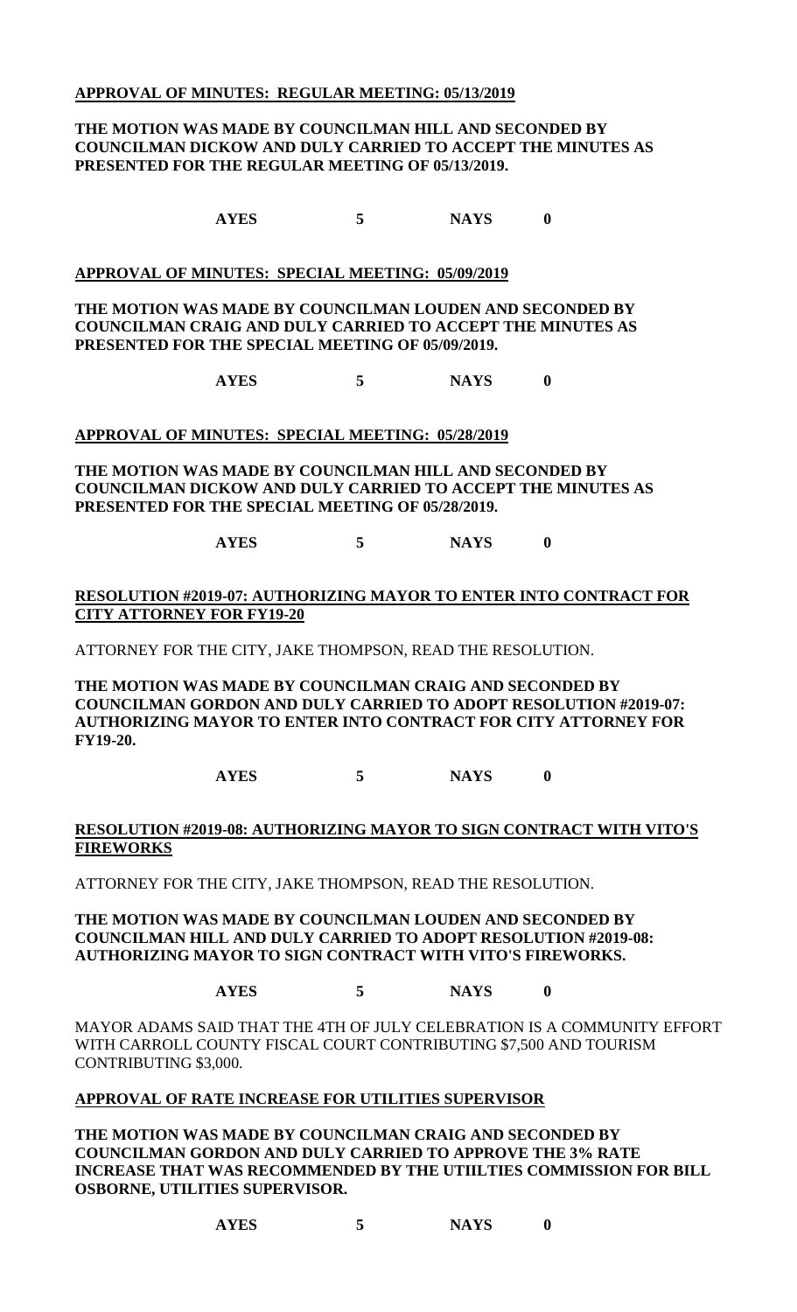### **APPROVAL OF MINUTES: REGULAR MEETING: 05/13/2019**

### **THE MOTION WAS MADE BY COUNCILMAN HILL AND SECONDED BY COUNCILMAN DICKOW AND DULY CARRIED TO ACCEPT THE MINUTES AS PRESENTED FOR THE REGULAR MEETING OF 05/13/2019.**

**AYES 5 NAYS 0**

#### **APPROVAL OF MINUTES: SPECIAL MEETING: 05/09/2019**

**THE MOTION WAS MADE BY COUNCILMAN LOUDEN AND SECONDED BY COUNCILMAN CRAIG AND DULY CARRIED TO ACCEPT THE MINUTES AS PRESENTED FOR THE SPECIAL MEETING OF 05/09/2019.**

**AYES 5 NAYS 0**

### **APPROVAL OF MINUTES: SPECIAL MEETING: 05/28/2019**

**THE MOTION WAS MADE BY COUNCILMAN HILL AND SECONDED BY COUNCILMAN DICKOW AND DULY CARRIED TO ACCEPT THE MINUTES AS PRESENTED FOR THE SPECIAL MEETING OF 05/28/2019.**

**AYES 5 NAYS 0**

### **RESOLUTION #2019-07: AUTHORIZING MAYOR TO ENTER INTO CONTRACT FOR CITY ATTORNEY FOR FY19-20**

ATTORNEY FOR THE CITY, JAKE THOMPSON, READ THE RESOLUTION.

**THE MOTION WAS MADE BY COUNCILMAN CRAIG AND SECONDED BY COUNCILMAN GORDON AND DULY CARRIED TO ADOPT RESOLUTION #2019-07: AUTHORIZING MAYOR TO ENTER INTO CONTRACT FOR CITY ATTORNEY FOR FY19-20.**

**AYES 5 NAYS 0**

#### **RESOLUTION #2019-08: AUTHORIZING MAYOR TO SIGN CONTRACT WITH VITO'S FIREWORKS**

ATTORNEY FOR THE CITY, JAKE THOMPSON, READ THE RESOLUTION.

#### **THE MOTION WAS MADE BY COUNCILMAN LOUDEN AND SECONDED BY COUNCILMAN HILL AND DULY CARRIED TO ADOPT RESOLUTION #2019-08: AUTHORIZING MAYOR TO SIGN CONTRACT WITH VITO'S FIREWORKS.**

# **AYES 5 NAYS 0**

MAYOR ADAMS SAID THAT THE 4TH OF JULY CELEBRATION IS A COMMUNITY EFFORT WITH CARROLL COUNTY FISCAL COURT CONTRIBUTING \$7,500 AND TOURISM CONTRIBUTING \$3,000.

#### **APPROVAL OF RATE INCREASE FOR UTILITIES SUPERVISOR**

**THE MOTION WAS MADE BY COUNCILMAN CRAIG AND SECONDED BY COUNCILMAN GORDON AND DULY CARRIED TO APPROVE THE 3% RATE INCREASE THAT WAS RECOMMENDED BY THE UTIILTIES COMMISSION FOR BILL OSBORNE, UTILITIES SUPERVISOR.** 

**AYES 5 NAYS 0**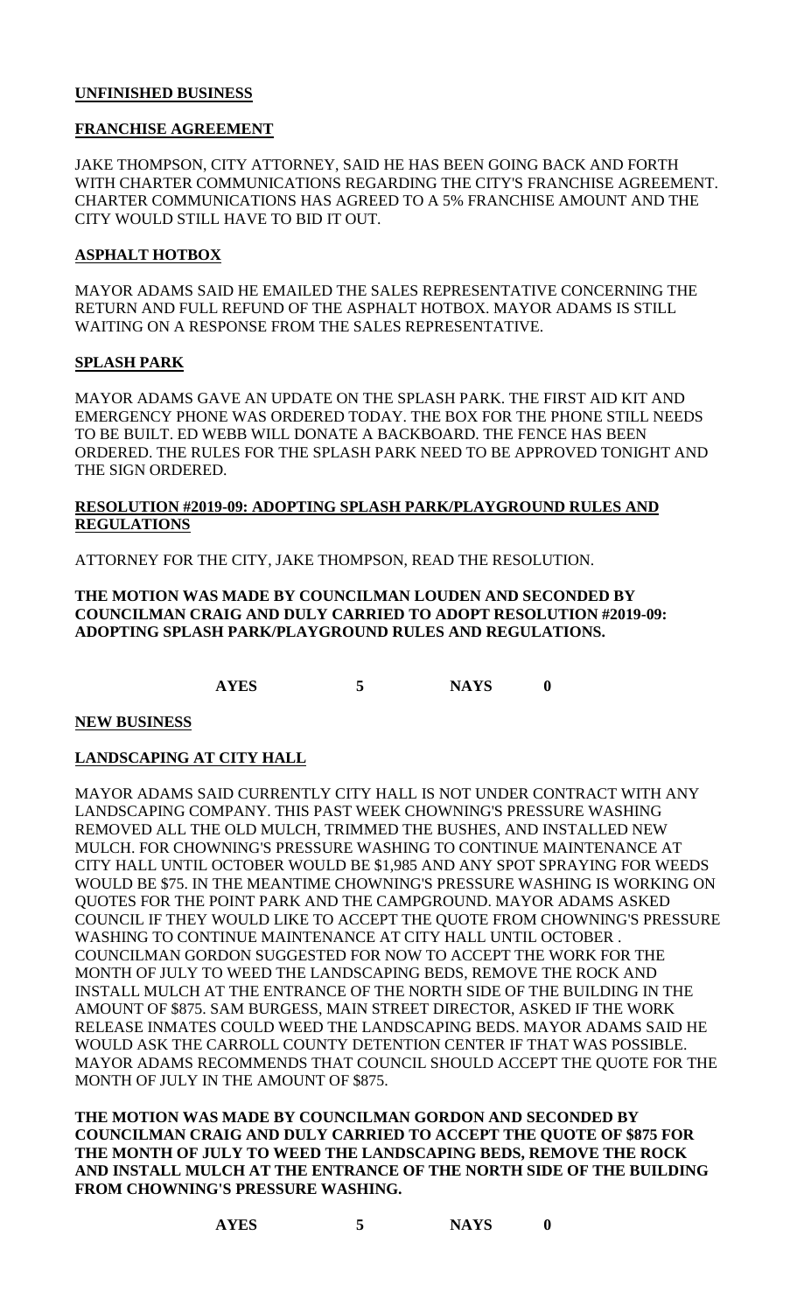## **UNFINISHED BUSINESS**

### **FRANCHISE AGREEMENT**

JAKE THOMPSON, CITY ATTORNEY, SAID HE HAS BEEN GOING BACK AND FORTH WITH CHARTER COMMUNICATIONS REGARDING THE CITY'S FRANCHISE AGREEMENT. CHARTER COMMUNICATIONS HAS AGREED TO A 5% FRANCHISE AMOUNT AND THE CITY WOULD STILL HAVE TO BID IT OUT.

## **ASPHALT HOTBOX**

MAYOR ADAMS SAID HE EMAILED THE SALES REPRESENTATIVE CONCERNING THE RETURN AND FULL REFUND OF THE ASPHALT HOTBOX. MAYOR ADAMS IS STILL WAITING ON A RESPONSE FROM THE SALES REPRESENTATIVE.

## **SPLASH PARK**

MAYOR ADAMS GAVE AN UPDATE ON THE SPLASH PARK. THE FIRST AID KIT AND EMERGENCY PHONE WAS ORDERED TODAY. THE BOX FOR THE PHONE STILL NEEDS TO BE BUILT. ED WEBB WILL DONATE A BACKBOARD. THE FENCE HAS BEEN ORDERED. THE RULES FOR THE SPLASH PARK NEED TO BE APPROVED TONIGHT AND THE SIGN ORDERED.

## **RESOLUTION #2019-09: ADOPTING SPLASH PARK/PLAYGROUND RULES AND REGULATIONS**

ATTORNEY FOR THE CITY, JAKE THOMPSON, READ THE RESOLUTION.

### **THE MOTION WAS MADE BY COUNCILMAN LOUDEN AND SECONDED BY COUNCILMAN CRAIG AND DULY CARRIED TO ADOPT RESOLUTION #2019-09: ADOPTING SPLASH PARK/PLAYGROUND RULES AND REGULATIONS.**

**AYES 5 NAYS 0**

**NEW BUSINESS**

# **LANDSCAPING AT CITY HALL**

MAYOR ADAMS SAID CURRENTLY CITY HALL IS NOT UNDER CONTRACT WITH ANY LANDSCAPING COMPANY. THIS PAST WEEK CHOWNING'S PRESSURE WASHING REMOVED ALL THE OLD MULCH, TRIMMED THE BUSHES, AND INSTALLED NEW MULCH. FOR CHOWNING'S PRESSURE WASHING TO CONTINUE MAINTENANCE AT CITY HALL UNTIL OCTOBER WOULD BE \$1,985 AND ANY SPOT SPRAYING FOR WEEDS WOULD BE \$75. IN THE MEANTIME CHOWNING'S PRESSURE WASHING IS WORKING ON QUOTES FOR THE POINT PARK AND THE CAMPGROUND. MAYOR ADAMS ASKED COUNCIL IF THEY WOULD LIKE TO ACCEPT THE QUOTE FROM CHOWNING'S PRESSURE WASHING TO CONTINUE MAINTENANCE AT CITY HALL UNTIL OCTOBER . COUNCILMAN GORDON SUGGESTED FOR NOW TO ACCEPT THE WORK FOR THE MONTH OF JULY TO WEED THE LANDSCAPING BEDS, REMOVE THE ROCK AND INSTALL MULCH AT THE ENTRANCE OF THE NORTH SIDE OF THE BUILDING IN THE AMOUNT OF \$875. SAM BURGESS, MAIN STREET DIRECTOR, ASKED IF THE WORK RELEASE INMATES COULD WEED THE LANDSCAPING BEDS. MAYOR ADAMS SAID HE WOULD ASK THE CARROLL COUNTY DETENTION CENTER IF THAT WAS POSSIBLE. MAYOR ADAMS RECOMMENDS THAT COUNCIL SHOULD ACCEPT THE QUOTE FOR THE MONTH OF JULY IN THE AMOUNT OF \$875.

**THE MOTION WAS MADE BY COUNCILMAN GORDON AND SECONDED BY COUNCILMAN CRAIG AND DULY CARRIED TO ACCEPT THE QUOTE OF \$875 FOR THE MONTH OF JULY TO WEED THE LANDSCAPING BEDS, REMOVE THE ROCK AND INSTALL MULCH AT THE ENTRANCE OF THE NORTH SIDE OF THE BUILDING FROM CHOWNING'S PRESSURE WASHING.**

| <b>AYES</b> |  | <b>NAYS</b> |  |
|-------------|--|-------------|--|
|-------------|--|-------------|--|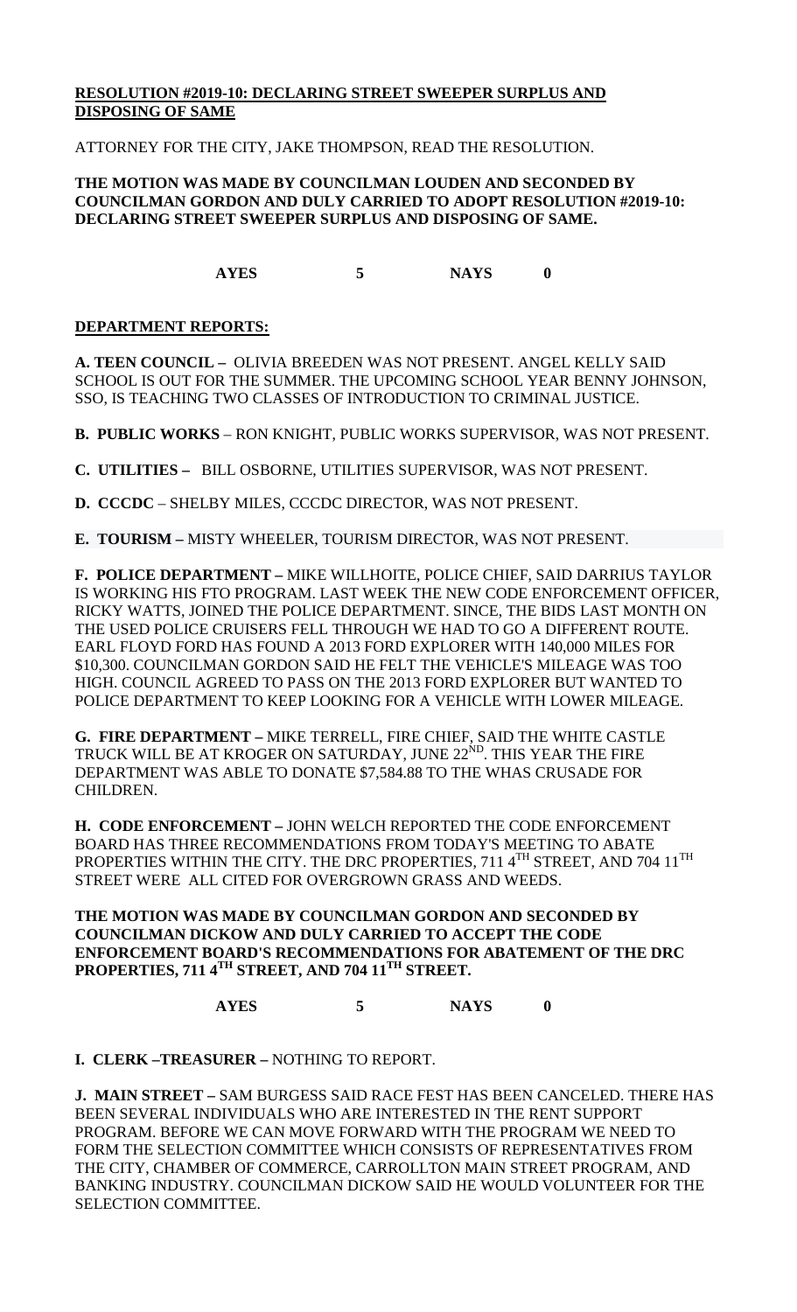## **RESOLUTION #2019-10: DECLARING STREET SWEEPER SURPLUS AND DISPOSING OF SAME**

ATTORNEY FOR THE CITY, JAKE THOMPSON, READ THE RESOLUTION.

#### **THE MOTION WAS MADE BY COUNCILMAN LOUDEN AND SECONDED BY COUNCILMAN GORDON AND DULY CARRIED TO ADOPT RESOLUTION #2019-10: DECLARING STREET SWEEPER SURPLUS AND DISPOSING OF SAME.**

**AYES 5 NAYS 0**

#### **DEPARTMENT REPORTS:**

**A. TEEN COUNCIL –** OLIVIA BREEDEN WAS NOT PRESENT. ANGEL KELLY SAID SCHOOL IS OUT FOR THE SUMMER. THE UPCOMING SCHOOL YEAR BENNY JOHNSON, SSO, IS TEACHING TWO CLASSES OF INTRODUCTION TO CRIMINAL JUSTICE.

**B. PUBLIC WORKS** – RON KNIGHT, PUBLIC WORKS SUPERVISOR, WAS NOT PRESENT.

**C. UTILITIES –** BILL OSBORNE, UTILITIES SUPERVISOR, WAS NOT PRESENT.

**D. CCCDC** – SHELBY MILES, CCCDC DIRECTOR, WAS NOT PRESENT.

**E. TOURISM –** MISTY WHEELER, TOURISM DIRECTOR, WAS NOT PRESENT.

**F. POLICE DEPARTMENT –** MIKE WILLHOITE, POLICE CHIEF, SAID DARRIUS TAYLOR IS WORKING HIS FTO PROGRAM. LAST WEEK THE NEW CODE ENFORCEMENT OFFICER, RICKY WATTS, JOINED THE POLICE DEPARTMENT. SINCE, THE BIDS LAST MONTH ON THE USED POLICE CRUISERS FELL THROUGH WE HAD TO GO A DIFFERENT ROUTE. EARL FLOYD FORD HAS FOUND A 2013 FORD EXPLORER WITH 140,000 MILES FOR \$10,300. COUNCILMAN GORDON SAID HE FELT THE VEHICLE'S MILEAGE WAS TOO HIGH. COUNCIL AGREED TO PASS ON THE 2013 FORD EXPLORER BUT WANTED TO POLICE DEPARTMENT TO KEEP LOOKING FOR A VEHICLE WITH LOWER MILEAGE.

**G. FIRE DEPARTMENT –** MIKE TERRELL, FIRE CHIEF, SAID THE WHITE CASTLE TRUCK WILL BE AT KROGER ON SATURDAY, JUNE 22<sup>ND</sup>. THIS YEAR THE FIRE DEPARTMENT WAS ABLE TO DONATE \$7,584.88 TO THE WHAS CRUSADE FOR CHILDREN.

**H. CODE ENFORCEMENT –** JOHN WELCH REPORTED THE CODE ENFORCEMENT BOARD HAS THREE RECOMMENDATIONS FROM TODAY'S MEETING TO ABATE PROPERTIES WITHIN THE CITY. THE DRC PROPERTIES, 711 4TH STREET, AND 704 11TH STREET WERE ALL CITED FOR OVERGROWN GRASS AND WEEDS.

**THE MOTION WAS MADE BY COUNCILMAN GORDON AND SECONDED BY COUNCILMAN DICKOW AND DULY CARRIED TO ACCEPT THE CODE ENFORCEMENT BOARD'S RECOMMENDATIONS FOR ABATEMENT OF THE DRC PROPERTIES, 711 4TH STREET, AND 704 11TH STREET.**

**AYES 5 NAYS 0**

**I. CLERK –TREASURER –** NOTHING TO REPORT.

**J. MAIN STREET –** SAM BURGESS SAID RACE FEST HAS BEEN CANCELED. THERE HAS BEEN SEVERAL INDIVIDUALS WHO ARE INTERESTED IN THE RENT SUPPORT PROGRAM. BEFORE WE CAN MOVE FORWARD WITH THE PROGRAM WE NEED TO FORM THE SELECTION COMMITTEE WHICH CONSISTS OF REPRESENTATIVES FROM THE CITY, CHAMBER OF COMMERCE, CARROLLTON MAIN STREET PROGRAM, AND BANKING INDUSTRY. COUNCILMAN DICKOW SAID HE WOULD VOLUNTEER FOR THE SELECTION COMMITTEE.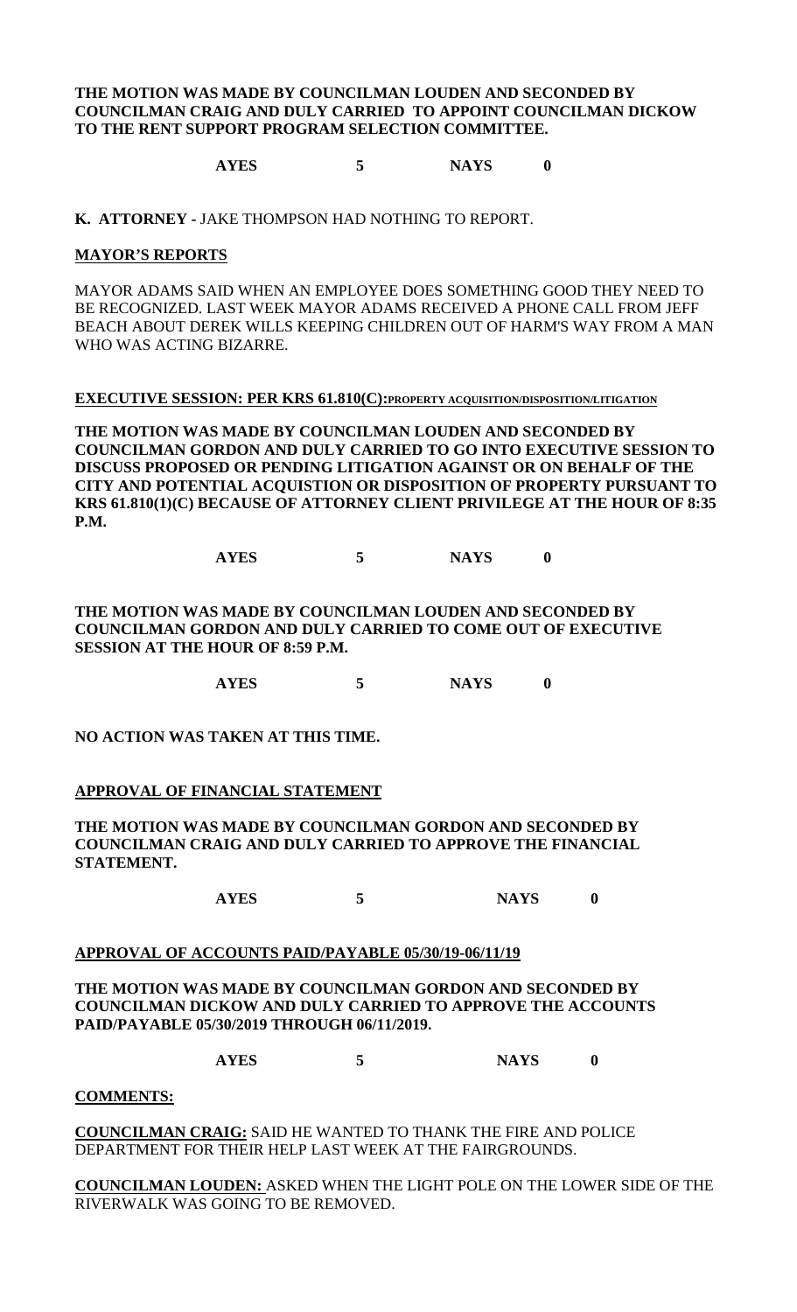#### **THE MOTION WAS MADE BY COUNCILMAN LOUDEN AND SECONDED BY COUNCILMAN CRAIG AND DULY CARRIED TO APPOINT COUNCILMAN DICKOW TO THE RENT SUPPORT PROGRAM SELECTION COMMITTEE.**

**AYES 5 NAYS 0**

**K. ATTORNEY -** JAKE THOMPSON HAD NOTHING TO REPORT.

#### **MAYOR'S REPORTS**

MAYOR ADAMS SAID WHEN AN EMPLOYEE DOES SOMETHING GOOD THEY NEED TO BE RECOGNIZED. LAST WEEK MAYOR ADAMS RECEIVED A PHONE CALL FROM JEFF BEACH ABOUT DEREK WILLS KEEPING CHILDREN OUT OF HARM'S WAY FROM A MAN WHO WAS ACTING BIZARRE.

#### **EXECUTIVE SESSION: PER KRS 61.810(C):PROPERTY ACQUISITION/DISPOSITION/LITIGATION**

**THE MOTION WAS MADE BY COUNCILMAN LOUDEN AND SECONDED BY COUNCILMAN GORDON AND DULY CARRIED TO GO INTO EXECUTIVE SESSION TO DISCUSS PROPOSED OR PENDING LITIGATION AGAINST OR ON BEHALF OF THE CITY AND POTENTIAL ACQUISTION OR DISPOSITION OF PROPERTY PURSUANT TO KRS 61.810(1)(C) BECAUSE OF ATTORNEY CLIENT PRIVILEGE AT THE HOUR OF 8:35 P.M.**

**AYES 5 NAYS 0**

**THE MOTION WAS MADE BY COUNCILMAN LOUDEN AND SECONDED BY COUNCILMAN GORDON AND DULY CARRIED TO COME OUT OF EXECUTIVE SESSION AT THE HOUR OF 8:59 P.M.**

**AYES 5 NAYS 0**

**NO ACTION WAS TAKEN AT THIS TIME.**

#### **APPROVAL OF FINANCIAL STATEMENT**

**THE MOTION WAS MADE BY COUNCILMAN GORDON AND SECONDED BY COUNCILMAN CRAIG AND DULY CARRIED TO APPROVE THE FINANCIAL STATEMENT.**

**AYES 5 NAYS 0**

#### **APPROVAL OF ACCOUNTS PAID/PAYABLE 05/30/19-06/11/19**

**THE MOTION WAS MADE BY COUNCILMAN GORDON AND SECONDED BY COUNCILMAN DICKOW AND DULY CARRIED TO APPROVE THE ACCOUNTS PAID/PAYABLE 05/30/2019 THROUGH 06/11/2019.**

**AYES 5 NAYS 0**

**COMMENTS:**

**COUNCILMAN CRAIG:** SAID HE WANTED TO THANK THE FIRE AND POLICE DEPARTMENT FOR THEIR HELP LAST WEEK AT THE FAIRGROUNDS.

**COUNCILMAN LOUDEN:** ASKED WHEN THE LIGHT POLE ON THE LOWER SIDE OF THE RIVERWALK WAS GOING TO BE REMOVED.